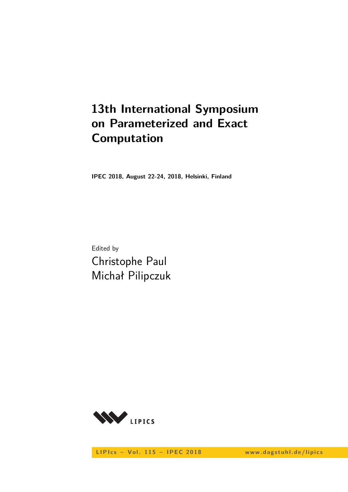# **13th International Symposium on Parameterized and Exact Computation**

**IPEC 2018, August 22-24, 2018, Helsinki, Finland**

Edited by Christophe Paul Michał Pilipczuk



LIPIcs - Vol. 115 - IPEC 2018 www.dagstuhl.de/lipics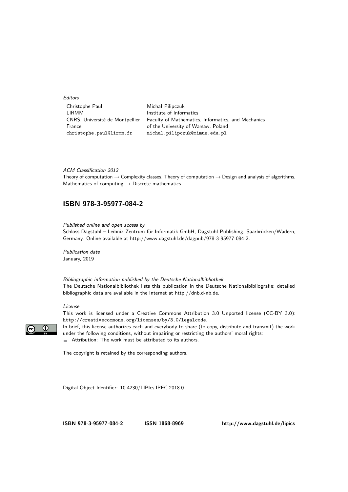**Editors** 

| Christophe Paul                 | Michał Pilipczuk                                   |
|---------------------------------|----------------------------------------------------|
| I IRMM                          | Institute of Informatics                           |
| CNRS, Université de Montpellier | Faculty of Mathematics, Informatics, and Mechanics |
| France                          | of the University of Warsaw, Poland                |
| christophe.paul@lirmm.fr        | michal.pilipczuk@mimuw.edu.pl                      |

ACM Classification 2012

Theory of computation  $\rightarrow$  Complexity classes, Theory of computation  $\rightarrow$  Design and analysis of algorithms, Mathematics of computing  $\rightarrow$  Discrete mathematics

#### **[ISBN 978-3-95977-084-2](http://www.dagstuhl.de/dagpub/978-3-95977-084-2)**

Published online and open access by

Schloss Dagstuhl – Leibniz-Zentrum für Informatik GmbH, Dagstuhl Publishing, Saarbrücken/Wadern, Germany. Online available at [http://www.dagstuhl.de/dagpub/978-3-95977-084-2.](http://www.dagstuhl.de/dagpub/978-3-95977-084-2)

Publication date January, 2019

Bibliographic information published by the Deutsche Nationalbibliothek The Deutsche Nationalbibliothek lists this publication in the Deutsche Nationalbibliografie; detailed bibliographic data are available in the Internet at [http://dnb.d-nb.de.](http://dnb.d-nb.de)

#### License

 $\odot$ 

This work is licensed under a Creative Commons Attribution 3.0 Unported license (CC-BY 3.0): http://creativecommons.org/licenses/by/3.0/legalcode.

In brief, this license authorizes each and everybody to share (to copy, distribute and transmit) the work under the following conditions, without impairing or restricting the authors' moral rights: Attribution: The work must be attributed to its authors.

The copyright is retained by the corresponding authors.

Digital Object Identifier: [10.4230/LIPIcs.IPEC.2018.0](http://dx.doi.org/10.4230/LIPIcs.IPEC.2018.0)

**[ISBN 978-3-95977-084-2](http://www.dagstuhl.de/dagpub/978-3-95977-084-2) [ISSN 1868-8969](http://drops.dagstuhl.de/lipics)<http://www.dagstuhl.de/lipics>**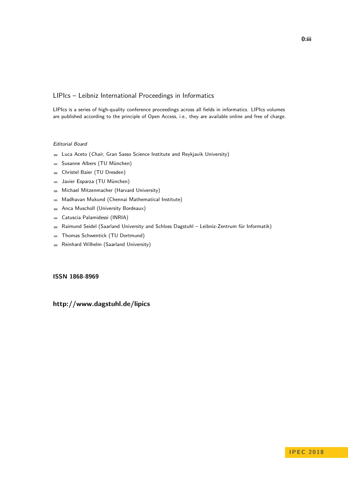#### LIPIcs – Leibniz International Proceedings in Informatics

LIPIcs is a series of high-quality conference proceedings across all fields in informatics. LIPIcs volumes are published according to the principle of Open Access, i.e., they are available online and free of charge.

#### Editorial Board

- **Luca Aceto** (*Chair*, Gran Sasso Science Institute and Reykjavik University)
- Susanne Albers (TU München)  $\equiv$
- Christel Baier (TU Dresden)  $\sim$
- Javier Esparza (TU München)  $\equiv$
- Michael Mitzenmacher (Harvard University)  $\sim$
- Madhavan Mukund (Chennai Mathematical Institute)  $\blacksquare$
- Anca Muscholl (University Bordeaux)  $\blacksquare$
- Catuscia Palamidessi (INRIA)  $\overline{\phantom{a}}$
- Raimund Seidel (Saarland University and Schloss Dagstuhl Leibniz-Zentrum für Informatik)  $\blacksquare$
- Thomas Schwentick (TU Dortmund)  $\overline{a}$
- Reinhard Wilhelm (Saarland University)  $\sim$

#### **[ISSN 1868-8969](http://www.dagstuhl.de/dagpub/1868-8969)**

#### **<http://www.dagstuhl.de/lipics>**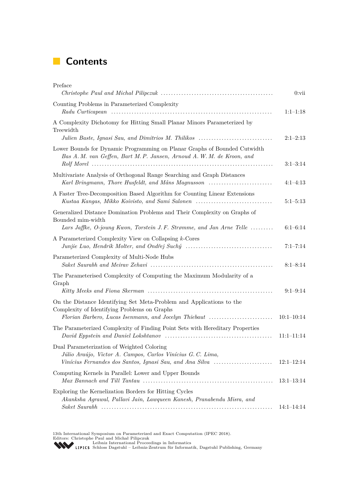## **Contents**

| Preface                                                                                                                                                                       | $0:$ vii     |
|-------------------------------------------------------------------------------------------------------------------------------------------------------------------------------|--------------|
| Counting Problems in Parameterized Complexity                                                                                                                                 | $1:1-1:18$   |
| A Complexity Dichotomy for Hitting Small Planar Minors Parameterized by<br>Treewidth<br>Julien Baste, Ignasi Sau, and Dimitrios M. Thilikos                                   | $2:1-2:13$   |
| Lower Bounds for Dynamic Programming on Planar Graphs of Bounded Cutwidth<br>Bas A. M. van Geffen, Bart M. P. Jansen, Arnoud A. W. M. de Kroon, and                           | $3:1-3:14$   |
| Multivariate Analysis of Orthogonal Range Searching and Graph Distances<br>Karl Bringmann, Thore Husfeldt, and Måns Magnusson                                                 | $4:1-4:13$   |
| A Faster Tree-Decomposition Based Algorithm for Counting Linear Extensions<br>Kustaa Kangas, Mikko Koivisto, and Sami Salonen                                                 | $5:1 - 5:13$ |
| Generalized Distance Domination Problems and Their Complexity on Graphs of<br>Bounded mim-width<br>Lars Jaffke, O-joung Kwon, Torstein J.F. Strømme, and Jan Arne Telle       | $6:1-6:14$   |
| A Parameterized Complexity View on Collapsing k-Cores                                                                                                                         | $7:1 - 7:14$ |
| Parameterized Complexity of Multi-Node Hubs                                                                                                                                   | $8:1 - 8:14$ |
| The Parameterised Complexity of Computing the Maximum Modularity of a<br>Graph                                                                                                | $9:1-9:14$   |
| On the Distance Identifying Set Meta-Problem and Applications to the<br>Complexity of Identifying Problems on Graphs<br>Florian Barbero, Lucas Isenmann, and Jocelyn Thiebaut | $10:1-10:14$ |
| The Parameterized Complexity of Finding Point Sets with Hereditary Properties                                                                                                 | $11:1-11:14$ |
| Dual Parameterization of Weighted Coloring<br>Júlio Araújo, Victor A. Campos, Carlos Vinícius G. C. Lima,<br>Vinícius Fernandes dos Santos, Ignasi Sau, and Ana Silva         | $12:1-12:14$ |
| Computing Kernels in Parallel: Lower and Upper Bounds                                                                                                                         | $13:1-13:14$ |
| Exploring the Kernelization Borders for Hitting Cycles<br>Akanksha Agrawal, Pallavi Jain, Lawqueen Kanesh, Pranabendu Misra, and                                              |              |
|                                                                                                                                                                               | $14:1-14:14$ |

13th International Symposium on Parameterized and Exact Computation (IPEC 2018).<br>Editors: Christophe Paul and Michał Pilipczuk<br>[Leibniz International Proceedings in Informatics](http://www.dagstuhl.de/lipics/)<br>LED Leibniz Schloss Dagstuhl – Leibniz-Zentrum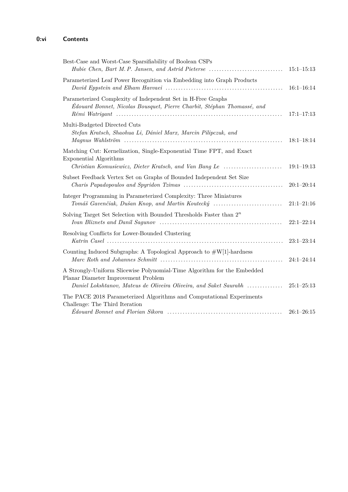| Best-Case and Worst-Case Sparsifiability of Boolean CSPs<br>Hubie Chen, Bart M.P. Jansen, and Astrid Pieterse                                                                                                    | $15:1 - 15:13$ |
|------------------------------------------------------------------------------------------------------------------------------------------------------------------------------------------------------------------|----------------|
| Parameterized Leaf Power Recognition via Embedding into Graph Products                                                                                                                                           | $16:1 - 16:14$ |
| Parameterized Complexity of Independent Set in H-Free Graphs<br>Édouard Bonnet, Nicolas Bousquet, Pierre Charbit, Stéphan Thomassé, and                                                                          | $17:1 - 17:13$ |
| Multi-Budgeted Directed Cuts<br>Stefan Kratsch, Shaohua Li, Dániel Marx, Marcin Pilipczuk, and                                                                                                                   | $18:1 - 18:14$ |
| Matching Cut: Kernelization, Single-Exponential Time FPT, and Exact<br><b>Exponential Algorithms</b><br>Christian Komusiewicz, Dieter Kratsch, and Van Bang Le                                                   | $19:1 - 19:13$ |
| Subset Feedback Vertex Set on Graphs of Bounded Independent Set Size<br><i>Charis Papadopoulos and Spyridon Tzimas <math>\ldots \ldots \ldots \ldots \ldots \ldots \ldots \ldots \ldots \ldots \ldots</math></i> | $20:1-20:14$   |
| Integer Programming in Parameterized Complexity: Three Miniatures<br>Tomáš Gavenčiak, Dušan Knop, and Martin Koutecký                                                                                            | $21:1 - 21:16$ |
| Solving Target Set Selection with Bounded Thresholds Faster than $2^n$                                                                                                                                           | $22:1 - 22:14$ |
| Resolving Conflicts for Lower-Bounded Clustering                                                                                                                                                                 | $23:1-23:14$   |
| Counting Induced Subgraphs: A Topological Approach to $\#W[1]$ -hardness                                                                                                                                         | $24:1 - 24:14$ |
| A Strongly-Uniform Slicewise Polynomial-Time Algorithm for the Embedded<br>Planar Diameter Improvement Problem<br>Daniel Lokshtanov, Mateus de Oliveira Oliveira, and Saket Saurabh                              | $25:1 - 25:13$ |
| The PACE 2018 Parameterized Algorithms and Computational Experiments<br>Challenge: The Third Iteration                                                                                                           | $26:1 - 26:15$ |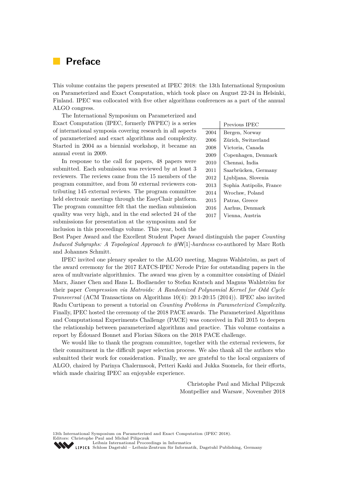### <span id="page-6-0"></span>**Preface**

This volume contains the papers presented at IPEC 2018: the 13th International Symposium on Parameterized and Exact Computation, which took place on August 22-24 in Helsinki, Finland. IPEC was collocated with five other algorithms conferences as a part of the annual ALGO congress.

The International Symposium on Parameterized and Exact Computation (IPEC, formerly IWPEC) is a series of international symposia covering research in all aspects of parameterized and exact algorithms and complexity. Started in 2004 as a biennial workshop, it became an annual event in 2009.

In response to the call for papers, 48 papers were submitted. Each submission was reviewed by at least 3 reviewers. The reviews came from the 15 members of the program committee, and from 50 external reviewers contributing 145 external reviews. The program committee held electronic meetings through the EasyChair platform. The program committee felt that the median submission quality was very high, and in the end selected 24 of the submissions for presentation at the symposium and for inclusion in this proceedings volume. This year, both the

|      | Previous IPEC            |
|------|--------------------------|
| 2004 | Bergen, Norway           |
| 2006 | Zürich, Switzerland      |
| 2008 | Victoria, Canada         |
| 2009 | Copenhagen, Denmark      |
| 2010 | Chennai, India           |
| 2011 | Saarbrücken, Germany     |
| 2012 | Ljubljana, Slovenia      |
| 2013 | Sophia Antipolis, France |
| 2014 | Wrocław, Poland          |
| 2015 | Patras, Greece           |
| 2016 | Aarhus, Denmark          |
| 2017 | Vienna, Austria          |

Best Paper Award and the Excellent Student Paper Award distinguish the paper *Counting Induced Subgraphs: A Topological Approach to* #W[1]*-hardness* co-authored by Marc Roth and Johannes Schmitt.

IPEC invited one plenary speaker to the ALGO meeting, Magnus Wahlström, as part of the award ceremony for the 2017 EATCS-IPEC Nerode Prize for outstanding papers in the area of multvariate algorithmics. The award was given by a committee consisting of Dániel Marx, Jianer Chen and Hans L. Bodlaender to Stefan Kratsch and Magnus Wahlström for their paper *Compression via Matroids: A Randomized Polynomial Kernel for Odd Cycle Transversal* (ACM Transactions on Algorithms 10(4): 20:1-20:15 (2014)). IPEC also invited Radu Curtipean to present a tutorial on *Counting Problems in Parameterized Complexity*. Finally, IPEC hosted the ceremony of the 2018 PACE awards. The Parameterized Algorithms and Computational Experiments Challenge (PACE) was conceived in Fall 2015 to deepen the relationship between parameterized algorithms and practice. This volume contains a report by Édouard Bonnet and Florian Sikora on the 2018 PACE challenge.

We would like to thank the program committee, together with the external reviewers, for their commitment in the difficult paper selection process. We also thank all the authors who submitted their work for consideration. Finally, we are grateful to the local organizers of ALGO, chaired by Parinya Chalermsook, Petteri Kaski and Jukka Suomela, for their efforts, which made chairing IPEC an enjoyable experience.

> Christophe Paul and Michał Pilipczuk Montpellier and Warsaw, November 2018

13th International Symposium on Parameterized and Exact Computation (IPEC 2018). Editors: Christophe Paul and Michał Pilipczuk [Leibniz International Proceedings in Informatics](http://www.dagstuhl.de/lipics/) [Schloss Dagstuhl – Leibniz-Zentrum für Informatik, Dagstuhl Publishing, Germany](http://www.dagstuhl.de)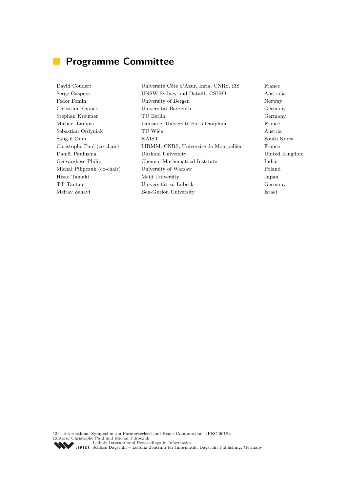## **Programme Committee**

David Coudert Université Côte d'Azur, Inria, CNRS, I3S France Serge Gaspers UNSW Sydney and Data61, CSIRO Australia Fedor Fomin University of Bergen Norway Norway Christian Knauer Universität Bayreuth Germany Stephan Kreutzer TU Berlin Germany Michael Lampis Lamsade, Université Paris Dauphine France Sebastian Ordyniak TU Wien Austria Sang-il Oum KAIST South Korea Christophe Paul (co-chair) LIRMM, CNRS, Université de Montpellier France Daniël Paulusma Durham University United Kingdom Geevarghese Philip Chennai Mathematical Institute India Michał Pilipczuk (co-chair) University of Warsaw Poland Hisao Tamaki Meiji University Japan Till Tantau Universität zu Lübeck Germany Meirav Zehavi Ben-Gurion University Israel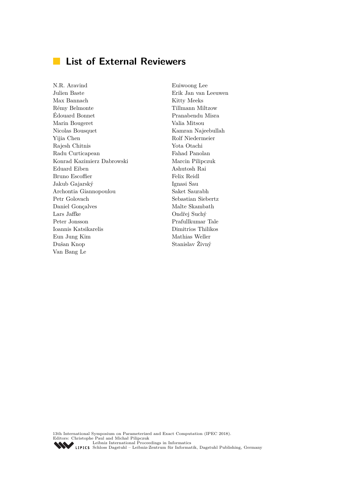## **List of External Reviewers**

N.R. Aravind Julien Baste Max Bannach Rémy Belmonte Édouard Bonnet Marin Bougeret Nicolas Bousquet Yijia Chen Rajesh Chitnis Radu Curticapean Konrad Kazimierz Dabrowski Eduard Eiben Bruno Escoffier Jakub Gajarský Archontia Giannopoulou Petr Golovach Daniel Gonçalves Lars Jaffke Peter Jonsson Ioannis Katsikarelis Eun Jung Kim Dušan Knop Van Bang Le

Euiwoong Lee Erik Jan van Leeuwen Kitty Meeks Tillmann Miltzow Pranabendu Misra Valia Mitsou Kamran Najeebullah Rolf Niedermeier Yota Otachi Fahad Panolan Marcin Pilipczuk Ashutosh Rai Felix Reidl Ignasi Sau Saket Saurabh Sebastian Siebertz Malte Skambath Ondřej Suchý Prafullkumar Tale Dimitrios Thilikos Mathias Weller Stanislav Živný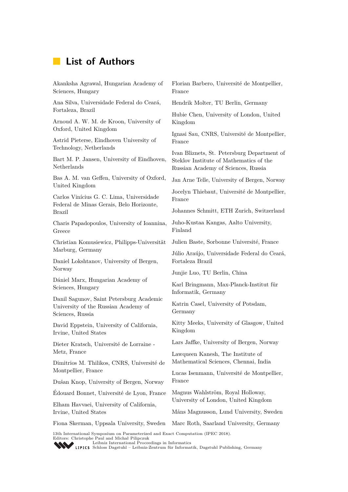## **List of Authors**

Akanksha Agrawal, Hungarian Academy of Sciences, Hungary Ana Silva, Universidade Federal do Ceará, Fortaleza, Brazil Arnoud A. W. M. de Kroon, University of Oxford, United Kingdom Astrid Pieterse, Eindhoven University of Technology, Netherlands Bart M. P. Jansen, University of Eindhoven, Netherlands Bas A. M. van Geffen, University of Oxford, United Kingdom Carlos Vinícius G. C. Lima, Universidade Federal de Minas Gerais, Belo Horizonte, Brazil Charis Papadopoulos, University of Ioannina, Greece Christian Komusiewicz, Philipps-Universität Marburg, Germany Daniel Lokshtanov, University of Bergen, Norway Dániel Marx, Hungarian Academy of Sciences, Hungary Danil Sagunov, Saint Petersburg Academic University of the Russian Academy of Sciences, Russia David Eppstein, University of California, Irvine, United States Dieter Kratsch, Université de Lorraine - Metz, France Dimitrios M. Thilikos, CNRS, Université de Montpellier, France Dušan Knop, University of Bergen, Norway Édouard Bonnet, Université de Lyon, France Elham Havvaei, University of California, Irvine, United States Fiona Skerman, Uppsala University, Sweden Marc Roth, Saarland University, Germany Florian Barbero, Université de Montpellier, France Hendrik Molter, TU Berlin, Germany Hubie Chen, University of London, United Kingdom Ignasi Sau, CNRS, Université de Montpellier, France Ivan Bliznets, St. Petersburg Department of Steklov Institute of Mathematics of the Russian Academy of Sciences, Russia Jan Arne Telle, University of Bergen, Norway Jocelyn Thiebaut, Université de Montpellier, France Johannes Schmitt, ETH Zurich, Switzerland Juho-Kustaa Kangas, Aalto University, Finland Julien Baste, Sorbonne Université, France Júlio Araújo, Universidade Federal do Ceará, Fortaleza Brazil Junjie Luo, TU Berlin, China Karl Bringmann, Max-Planck-Institut für Informatik, Germany Katrin Casel, University of Potsdam, Germany Kitty Meeks, University of Glasgow, United Kingdom Lars Jaffke, University of Bergen, Norway Lawqueen Kanesh, The Institute of Mathematical Sciences, Chennai, India Lucas Isenmann, Université de Montpellier, France Magnus Wahlström, Royal Holloway, University of London, United Kingdom Måns Magnusson, Lund University, Sweden 13th International Symposium on Parameterized and Exact Computation (IPEC 2018).

Editors: Christophe Paul and Michał Pilipczuk [Leibniz International Proceedings in Informatics](http://www.dagstuhl.de/lipics/)

SCHLOSS Dagstuhl – Leibniz-Zentrum für Informatik, Dagstuhl Publishing, Germany